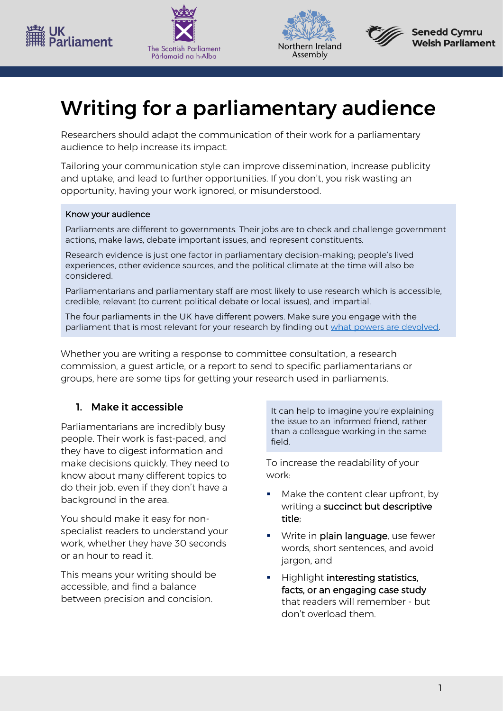







## Writing for a parliamentary audience

Researchers should adapt the communication of their work for a parliamentary audience to help increase its impact.

Tailoring your communication style can improve dissemination, increase publicity and uptake, and lead to further opportunities. If you don't, you risk wasting an opportunity, having your work ignored, or misunderstood.

#### Know your audience

Parliaments are different to governments. Their jobs are to check and challenge government actions, make laws, debate important issues, and represent constituents.

Research evidence is just one factor in parliamentary decision-making; people's lived experiences, other evidence sources, and the political climate at the time will also be considered.

Parliamentarians and parliamentary staff are most likely to use research which is accessible, credible, relevant (to current political debate or local issues), and impartial.

The four parliaments in the UK have different powers. Make sure you engage with the parliament that is most relevant for your research by finding out [what powers are devolved.](https://www.gov.uk/guidance/guidance-on-devolution#devolved-responsibilities)

Whether you are writing a response to committee consultation, a research commission, a guest article, or a report to send to specific parliamentarians or groups, here are some tips for getting your research used in parliaments.

### 1. Make it accessible

Parliamentarians are incredibly busy people. Their work is fast-paced, and they have to digest information and make decisions quickly. They need to know about many different topics to do their job, even if they don't have a background in the area.

You should make it easy for nonspecialist readers to understand your work, whether they have 30 seconds or an hour to read it.

This means your writing should be accessible, and find a balance between precision and concision.

It can help to imagine you're explaining the issue to an informed friend, rather than a colleague working in the same field.

To increase the readability of your work:

- Make the content clear upfront, by writing a succinct but descriptive title;
- Write in plain language, use fewer words, short sentences, and avoid jargon, and
- Highlight interesting statistics, facts, or an engaging case study that readers will remember - but don't overload them.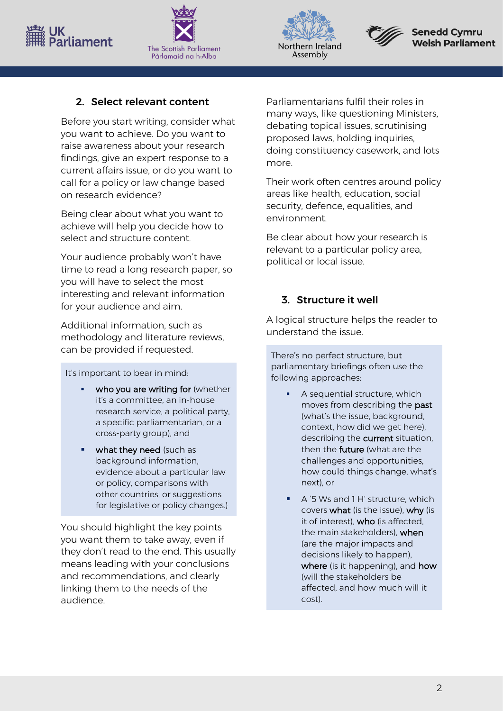# 'n<br>arliament







### 2. Select relevant content

Before you start writing, consider what you want to achieve. Do you want to raise awareness about your research findings, give an expert response to a current affairs issue, or do you want to call for a policy or law change based on research evidence?

Being clear about what you want to achieve will help you decide how to select and structure content.

Your audience probably won't have time to read a long research paper, so you will have to select the most interesting and relevant information for your audience and aim.

Additional information, such as methodology and literature reviews, can be provided if requested.

It's important to bear in mind:

- who you are writing for (whether it's a committee, an in-house research service, a political party, a specific parliamentarian, or a cross-party group), and
- what they need (such as background information, evidence about a particular law or policy, comparisons with other countries, or suggestions for legislative or policy changes.)

You should highlight the key points you want them to take away, even if they don't read to the end. This usually means leading with your conclusions and recommendations, and clearly linking them to the needs of the audience.

Parliamentarians fulfil their roles in many ways, like questioning Ministers, debating topical issues, scrutinising proposed laws, holding inquiries, doing constituency casework, and lots more.

Their work often centres around policy areas like health, education, social security, defence, equalities, and environment.

Be clear about how your research is relevant to a particular policy area, political or local issue.

### 3. Structure it well

A logical structure helps the reader to understand the issue.

There's no perfect structure, but parliamentary briefings often use the following approaches:

- A sequential structure, which moves from describing the past (what's the issue, background, context, how did we get here), describing the current situation, then the **future** (what are the challenges and opportunities, how could things change, what's next), or
- A '5 Ws and 1 H' structure, which covers what (is the issue), why (is it of interest), who (is affected, the main stakeholders), when (are the major impacts and decisions likely to happen), where (is it happening), and how (will the stakeholders be affected, and how much will it cost).